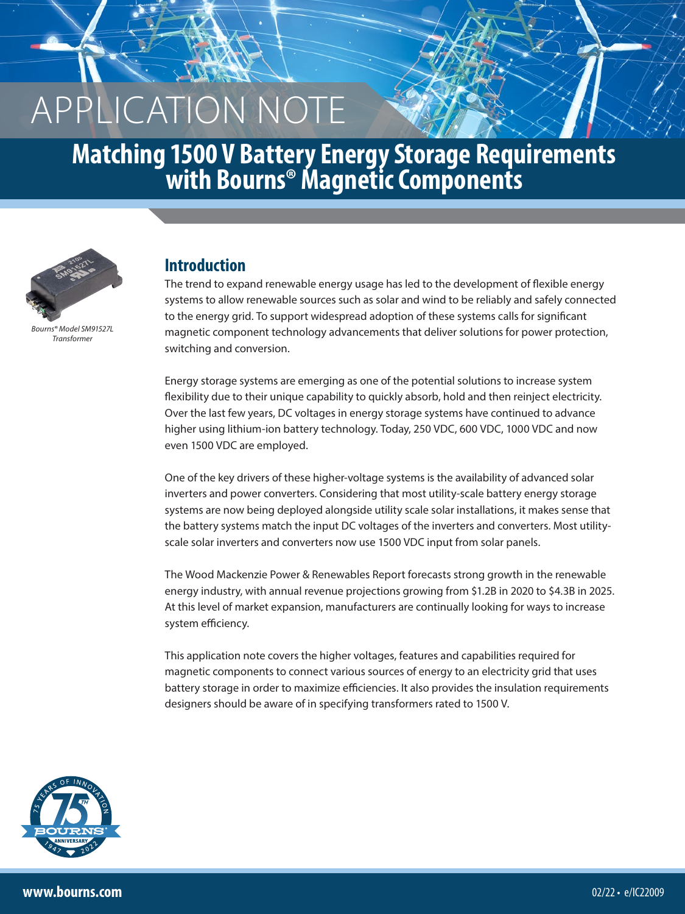# **Matching 1500 V Battery Energy Storage Requirements with Bourns® Magnetic Components**



*Bourns® Model SM91527L Transformer*

### **Introduction**

The trend to expand renewable energy usage has led to the development of flexible energy systems to allow renewable sources such as solar and wind to be reliably and safely connected to the energy grid. To support widespread adoption of these systems calls for significant magnetic component technology advancements that deliver solutions for power protection, switching and conversion.

Energy storage systems are emerging as one of the potential solutions to increase system flexibility due to their unique capability to quickly absorb, hold and then reinject electricity. Over the last few years, DC voltages in energy storage systems have continued to advance higher using lithium-ion battery technology. Today, 250 VDC, 600 VDC, 1000 VDC and now even 1500 VDC are employed.

One of the key drivers of these higher-voltage systems is the availability of advanced solar inverters and power converters. Considering that most utility-scale battery energy storage systems are now being deployed alongside utility scale solar installations, it makes sense that the battery systems match the input DC voltages of the inverters and converters. Most utilityscale solar inverters and converters now use 1500 VDC input from solar panels.

The Wood Mackenzie Power & Renewables Report forecasts strong growth in the renewable energy industry, with annual revenue projections growing from \$1.2B in 2020 to \$4.3B in 2025. At this level of market expansion, manufacturers are continually looking for ways to increase system efficiency.

This application note covers the higher voltages, features and capabilities required for magnetic components to connect various sources of energy to an electricity grid that uses battery storage in order to maximize efficiencies. It also provides the insulation requirements designers should be aware of in specifying transformers rated to 1500 V.

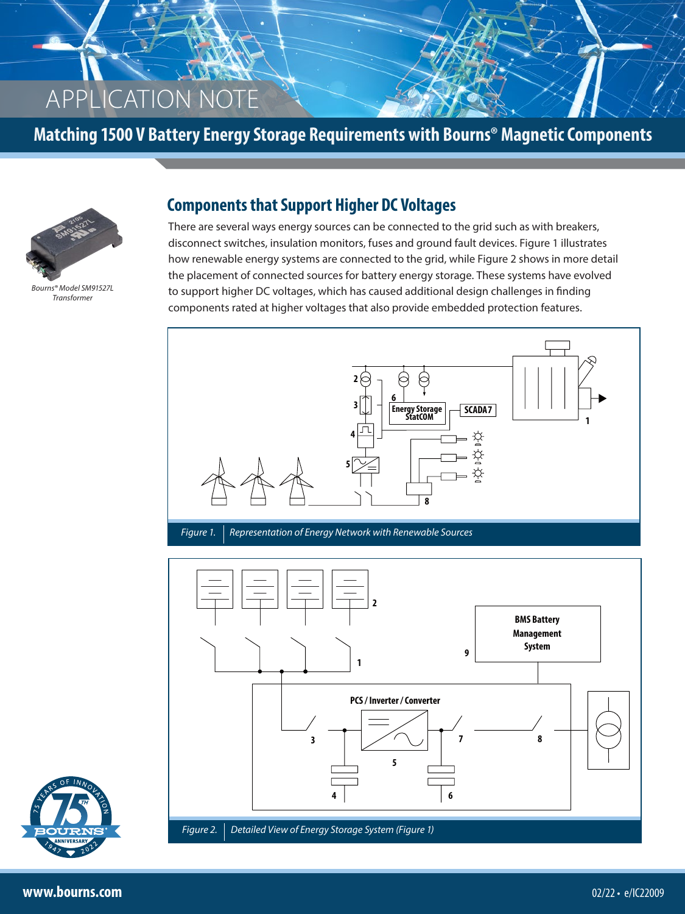**Matching 1500 V Battery Energy Storage Requirements with Bourns® Magnetic Components**



*Bourns® Model SM91527L Transformer*

#### **Components that Support Higher DC Voltages**

There are several ways energy sources can be connected to the grid such as with breakers, disconnect switches, insulation monitors, fuses and ground fault devices. Figure 1 illustrates how renewable energy systems are connected to the grid, while Figure 2 shows in more detail the placement of connected sources for battery energy storage. These systems have evolved to support higher DC voltages, which has caused additional design challenges in finding components rated at higher voltages that also provide embedded protection features.



*Figure 1.* Representation of Energy Network with Renewable Sources



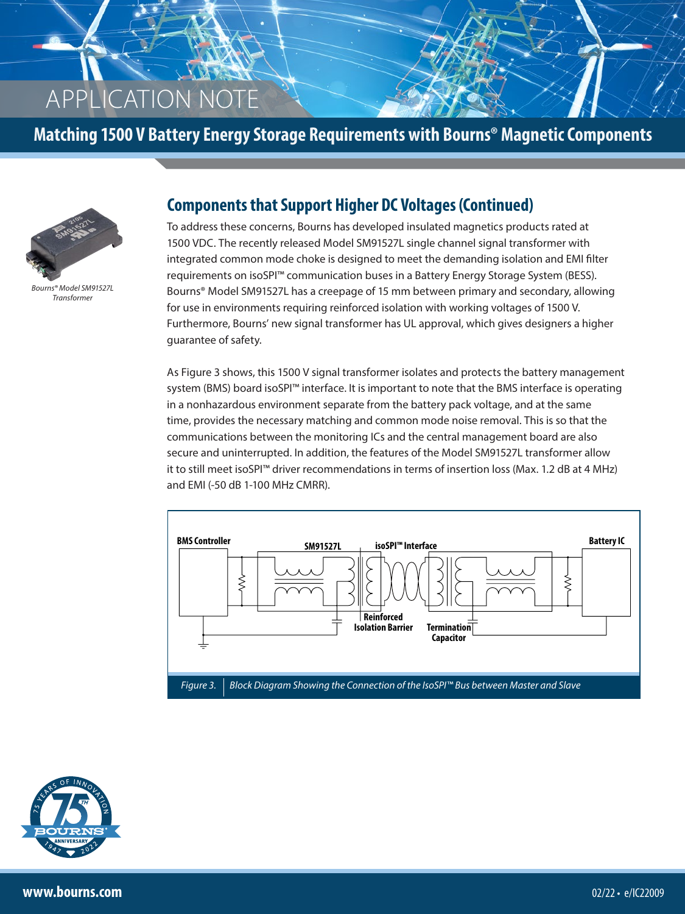### **Matching 1500 V Battery Energy Storage Requirements with Bourns® Magnetic Components**



*Bourns® Model SM91527L Transformer*

#### **Components that Support Higher DC Voltages (Continued)**

To address these concerns, Bourns has developed insulated magnetics products rated at 1500 VDC. The recently released Model SM91527L single channel signal transformer with integrated common mode choke is designed to meet the demanding isolation and EMI filter requirements on isoSPI™ communication buses in a Battery Energy Storage System (BESS). Bourns® Model SM91527L has a creepage of 15 mm between primary and secondary, allowing for use in environments requiring reinforced isolation with working voltages of 1500 V. Furthermore, Bourns' new signal transformer has UL approval, which gives designers a higher guarantee of safety.

As Figure 3 shows, this 1500 V signal transformer isolates and protects the battery management system (BMS) board isoSPI™ interface. It is important to note that the BMS interface is operating in a nonhazardous environment separate from the battery pack voltage, and at the same time, provides the necessary matching and common mode noise removal. This is so that the communications between the monitoring ICs and the central management board are also secure and uninterrupted. In addition, the features of the Model SM91527L transformer allow it to still meet isoSPI™ driver recommendations in terms of insertion loss (Max. 1.2 dB at 4 MHz) and EMI (-50 dB 1-100 MHz CMRR).



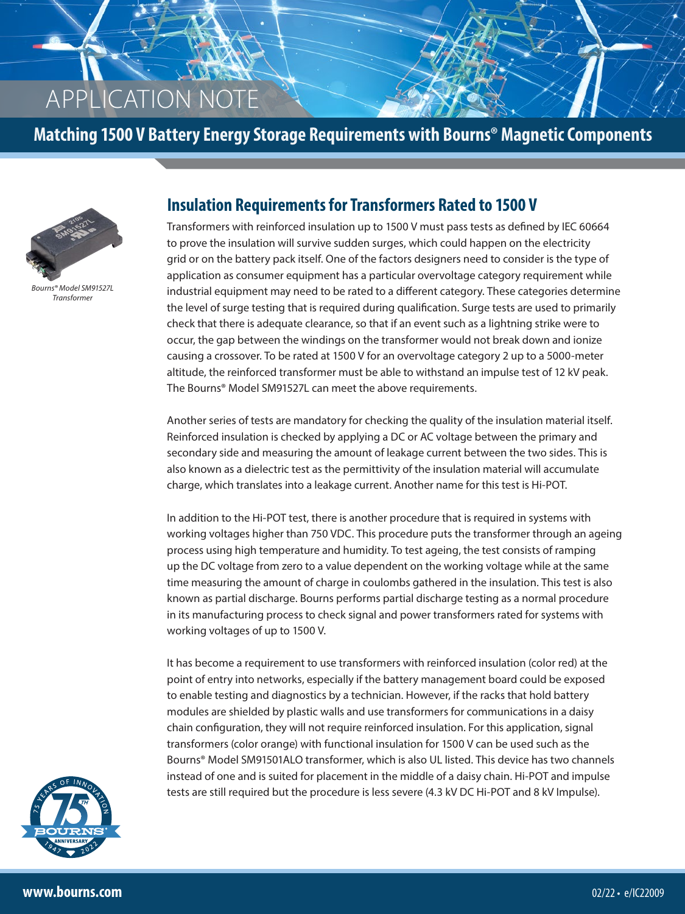**Matching 1500 V Battery Energy Storage Requirements with Bourns® Magnetic Components**



*Bourns® Model SM91527L Transformer*

#### **Insulation Requirements for Transformers Rated to 1500 V**

Transformers with reinforced insulation up to 1500 V must pass tests as defined by IEC 60664 to prove the insulation will survive sudden surges, which could happen on the electricity grid or on the battery pack itself. One of the factors designers need to consider is the type of application as consumer equipment has a particular overvoltage category requirement while industrial equipment may need to be rated to a different category. These categories determine the level of surge testing that is required during qualification. Surge tests are used to primarily check that there is adequate clearance, so that if an event such as a lightning strike were to occur, the gap between the windings on the transformer would not break down and ionize causing a crossover. To be rated at 1500 V for an overvoltage category 2 up to a 5000-meter altitude, the reinforced transformer must be able to withstand an impulse test of 12 kV peak. The Bourns® Model SM91527L can meet the above requirements.

Another series of tests are mandatory for checking the quality of the insulation material itself. Reinforced insulation is checked by applying a DC or AC voltage between the primary and secondary side and measuring the amount of leakage current between the two sides. This is also known as a dielectric test as the permittivity of the insulation material will accumulate charge, which translates into a leakage current. Another name for this test is Hi-POT.

In addition to the Hi-POT test, there is another procedure that is required in systems with working voltages higher than 750 VDC. This procedure puts the transformer through an ageing process using high temperature and humidity. To test ageing, the test consists of ramping up the DC voltage from zero to a value dependent on the working voltage while at the same time measuring the amount of charge in coulombs gathered in the insulation. This test is also known as partial discharge. Bourns performs partial discharge testing as a normal procedure in its manufacturing process to check signal and power transformers rated for systems with working voltages of up to 1500 V.

It has become a requirement to use transformers with reinforced insulation (color red) at the point of entry into networks, especially if the battery management board could be exposed to enable testing and diagnostics by a technician. However, if the racks that hold battery modules are shielded by plastic walls and use transformers for communications in a daisy chain configuration, they will not require reinforced insulation. For this application, signal transformers (color orange) with functional insulation for 1500 V can be used such as the Bourns® Model SM91501ALO transformer, which is also UL listed. This device has two channels instead of one and is suited for placement in the middle of a daisy chain. Hi-POT and impulse tests are still required but the procedure is less severe (4.3 kV DC Hi-POT and 8 kV Impulse).

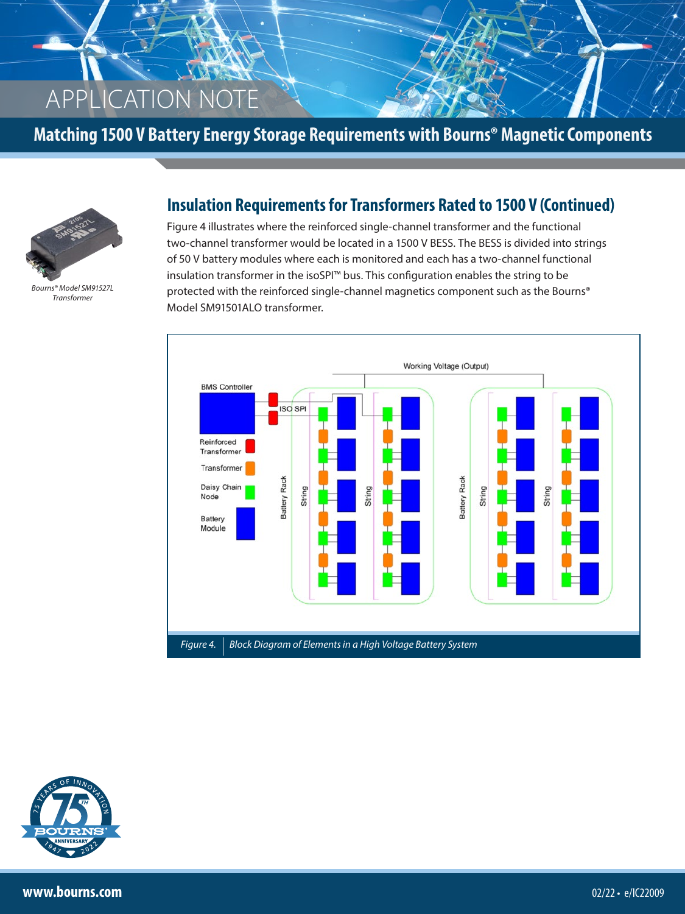**Matching 1500 V Battery Energy Storage Requirements with Bourns® Magnetic Components**



*Bourns® Model SM91527L Transformer*

### **Insulation Requirements for Transformers Rated to 1500 V (Continued)**

Figure 4 illustrates where the reinforced single-channel transformer and the functional two-channel transformer would be located in a 1500 V BESS. The BESS is divided into strings of 50 V battery modules where each is monitored and each has a two-channel functional insulation transformer in the isoSPI™ bus. This configuration enables the string to be protected with the reinforced single-channel magnetics component such as the Bourns® Model SM91501ALO transformer.